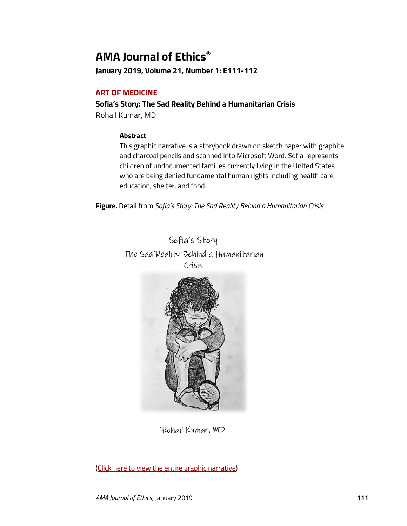# **AMA Journal of Ethics®**

**January 2019, Volume 21, Number 1: E111-112**

## **ART OF MEDICINE**

## **Sofia's Story: The Sad Reality Behind a Humanitarian Crisis**

Rohail Kumar, MD

### **Abstract**

This graphic narrative is a storybook drawn on sketch paper with graphite and charcoal pencils and scanned into Microsoft Word. Sofia represents children of undocumented families currently living in the United States who are being denied fundamental human rights including health care, education, shelter, and food.

**Figure.** Detail from *Sofia's Story: The Sad Reality Behind a Humanitarian Crisis*

Sofia's Story The Sad Reality Behind a Humanitarian Crisis



Rohail Kumar, MD

[\(Click here to view the entire graphic narrative\)](https://journalofethics.ama-assn.org/article/sofias-story-sad-reality-behind-humanitarian-crisis/2019-01)